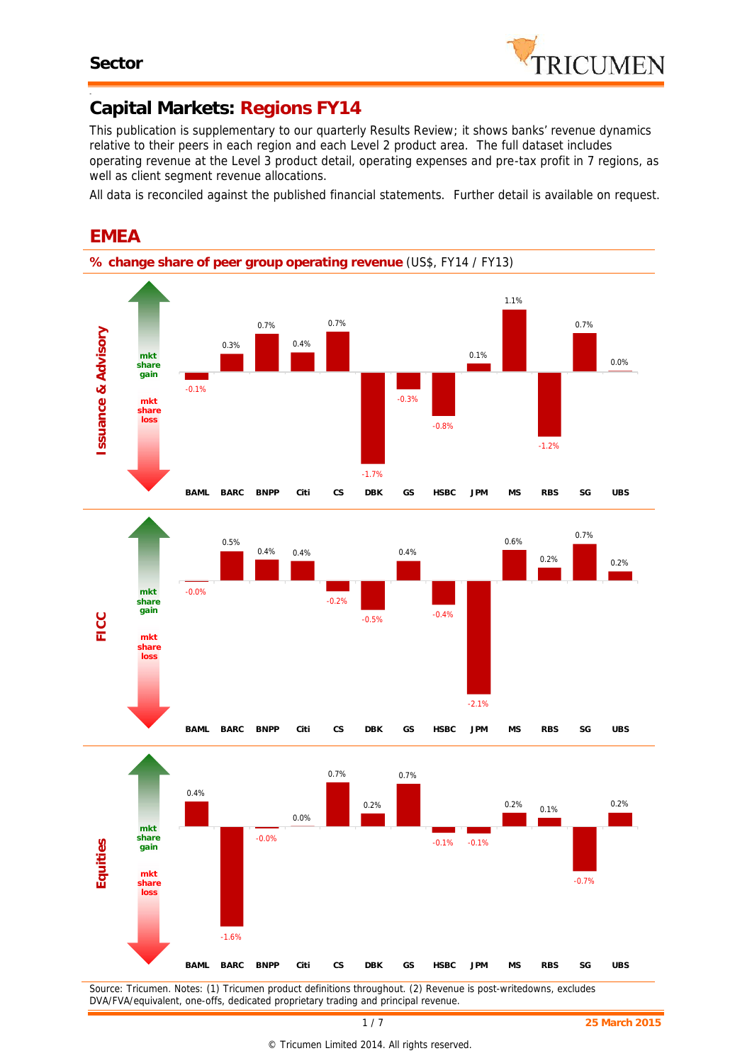-



## **Capital Markets: Regions FY14**

*This publication is supplementary to our quarterly Results Review; it shows banks' revenue dynamics relative to their peers in each region and each Level 2 product area. The full dataset includes operating revenue at the Level 3 product detail, operating expenses and pre-tax profit in 7 regions, as well as client segment revenue allocations.*

*All data is reconciled against the published financial statements. Further detail is available on request.*



*Source: Tricumen. Notes: (1) Tricumen product definitions throughout. (2) Revenue is post-writedowns, excludes*

*DVA/FVA/equivalent, one-offs, dedicated proprietary trading and principal revenue.*

# **EMEA**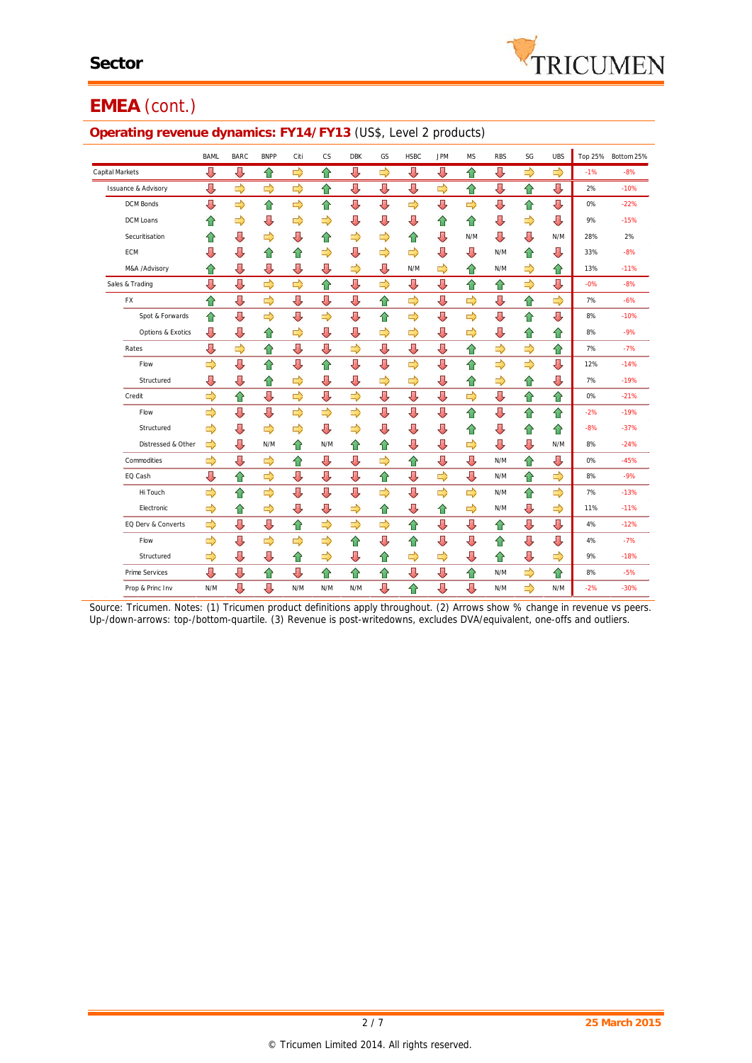# **EMEA** (cont.)

#### **Operating revenue dynamics: FY14/FY13** (US\$, Level 2 products)

|                                | <b>BAML</b>   | <b>BARC</b>   | <b>BNPP</b>   | Citi | CS            | <b>DBK</b>    | GS            | <b>HSBC</b>   | <b>JPM</b>    | <b>MS</b>     | <b>RBS</b>    | SG            | <b>UBS</b>    |       | Top 25% Bottom 25% |
|--------------------------------|---------------|---------------|---------------|------|---------------|---------------|---------------|---------------|---------------|---------------|---------------|---------------|---------------|-------|--------------------|
| Capital Markets                | ⇩             | ⇩             | ⇧             | ⇨    | ⇧             | ⇩             | ⇨             | ⇩             | ⇩             | ⇧             | ⇩             | ⇨             | $\Rightarrow$ | $-1%$ | $-8%$              |
| <b>Issuance &amp; Advisory</b> | ⇩             | $\Rightarrow$ | $\Rightarrow$ | ⇨    | ⇧             | ⇩             | ⇩             | ⇩             | ⇨             | ⇧             | ⇩             | ⇧             | ⇩             | 2%    | $-10%$             |
| <b>DCM Bonds</b>               | ⇩             | ⇨             | ⇧             | ⇨    | ⇧             | ⇩             | ⇩             | $\Rightarrow$ | ⇩             | ⇨             | ⇩             | ⇧             | ⇩             | 0%    | $-22%$             |
| DCM Loans                      | ⇑             | ⇨             | ⇩             | ⇨    | ⇨             | ⇩             | ⇩             | ⇩             | 습             | ⇑             | ⇩             | ⇨             | ⇩             | 9%    | $-15%$             |
| Securitisation                 | ⇧             | ⇩             | ⇨             | ⇩    | ⇑             | ⇨             | ⇨             | ⇧             | ⇩             | N/M           | ⇩             | ⇩             | N/M           | 28%   | 2%                 |
| <b>ECM</b>                     | ⇩             | ⇩             | ⇧             | 合    | ⇨             | ⇩             | ⇨             | ⇨             | ⇩             | ⇩             | N/M           | 슙             | ⇩             | 33%   | $-8%$              |
| M&A /Advisory                  | ⇧             | ⇩             | ⇩             | ⇩    | ⇩             | ⇨             | ⇩             | N/M           | ⇨             | ⇧             | N/M           | ⇨             | ⇧             | 13%   | $-11%$             |
| Sales & Trading                | ⇩             | Д             | $\Rightarrow$ | ⇨    | ⇧             | ⇩             | $\Rightarrow$ | ⇩             | ⇩             | ⇧             | ⇧             | ⇨             | ⇩             | $-0%$ | $-8%$              |
| FX                             | ⇧             | ⇩             | ⇨             | ⇩    | ⇩             | ⇩             | ⇧             | ⇨             | ⇩             | $\Rightarrow$ | ⇩             | ⇧             | $\Rightarrow$ | 7%    | $-6%$              |
| Spot & Forwards                | ⇧             | ⇩             | ⇨             | ⇩    | ⇨             | ⇩             | ⇧             | $\Rightarrow$ | ⇩             | ⇨             | ⇩             | ⇧             | ⇩             | 8%    | $-10%$             |
| <b>Options &amp; Exotics</b>   | ⇩             | ⇩             | ⇧             | ⇨    | ⇩             | ⇩             | ⇨             | ⇨             | ⇩             | ⇨             | ⇩             | ⇧             | ⇧             | 8%    | $-9%$              |
| Rates                          | ⇩             | ⇨             | ⇧             | ⇩    | ⇩             | $\Rightarrow$ | ⇩             | ⇩             | ⇩             | ⇧             | $\Rightarrow$ | $\Rightarrow$ | ⇧             | 7%    | $-7%$              |
| Flow                           | $\Rightarrow$ | ⇩             | ⇧             | ⇩    | ⇧             | ⇩             | ⇩             | $\Rightarrow$ | ⇩             | ⇧             | $\Rightarrow$ | $\Rightarrow$ | ⇩             | 12%   | $-14%$             |
| Structured                     | ⇩             | ⇩             | ⇑             | ⇨    | ⇩             | ⇩             | ⇨             | $\Rightarrow$ | ⇩             | ⇧             | ⇨             | ⇧             | ⇩             | 7%    | $-19%$             |
| Credit                         | ⇨             | 슙             | ⇩             | ⇨    | ⇩             | ⇨             | ⇩             | ⇩             | ⇩             | ⇨             | ⇩             | ⇧             | ⇧             | 0%    | $-21%$             |
| Flow                           | $\Rightarrow$ | ⇩             | ⇩             | ⇨    | $\Rightarrow$ | ⇨             | ⇩             | ⇩             | ⇩             | 슙             | ⇩             | ⇧             | ⇧             | $-2%$ | $-19%$             |
| Structured                     | ⇨             | ⇩             | ⇨             | ⇨    | ⇩             | ⇨             | ⇩             | ⇩             | ⇩             | ⇧             | ⇩             | ⇧             | ⇧             | $-8%$ | $-37%$             |
| Distressed & Other             | ⇨             | ⇩             | N/M           | ⇑    | N/M           | ⇧             | ⇧             | ⇩             | ⇩             | ⇨             | ⇩             | ⇩             | N/M           | 8%    | $-24%$             |
| Commodities                    | ⇨             | ⇩             | ⇨             | ⇑    | ⇩             | ⇩             | ⇨             | ⇧             | ⇩             | ⇩             | N/M           | ⇧             | ⇩             | 0%    | $-45%$             |
| EQ Cash                        | ⇩             | ⇑             | $\Rightarrow$ | ⇩    | ⇩             | ⇩             | ⇧             | ⇩             | $\Rightarrow$ | ⇩             | N/M           | ⇧             | ⇨             | 8%    | $-9%$              |
| Hi Touch                       | $\Rightarrow$ | 슙             | ⇨             | ⇩    | ⇩             | ⇩             | $\Rightarrow$ | ⇩             | ⇨             | $\Rightarrow$ | N/M           | ⇧             | ⇨             | 7%    | $-13%$             |
| Electronic                     | ⇨             | ⇧             | ⇨             | ⇩    | ⇩             | ⇨             | ⇧             | ⇩             | ⇧             | ⇨             | N/M           | ⇩             | ⇨             | 11%   | $-11%$             |
| EQ Derv & Converts             | ⇨             | ⇩             | ⇩             | ⇧    | ⇨             | ⇨             | ⇨             | ⇧             | ⇩             | ⇩             | ⇧             | ⇩             | ⇩             | 4%    | $-12%$             |
| Flow                           | ⇨             | ⇩             | ⇨             | ⇨    | ⇨             | ⇧             | ⇩             | ⇧             | ⇩             | ⇩             | ⇧             | ⇩             | ⇩             | 4%    | $-7%$              |
| Structured                     | ⇨             | ⇩             | ⇩             | 合    | ⇨             | ⇩             | ⇧             | ⇨             | ⇨             | ⇩             | ⇧             | ⇩             | ⇨             | 9%    | $-18%$             |
| Prime Services                 | Д             | ⇩             | ⇧             | л    | 合             | ⇧             | ⇧             | ⇩             | ⇩             | ⇧             | N/M           | ⇨             | ⇧             | 8%    | $-5%$              |
| Prop & Princ Inv               | N/M           | ⇩             | ⇩             | N/M  | N/M           | N/M           | ⇩             | ⇧             | ⇩             | ⇩             | N/M           | ⇨             | N/M           | $-2%$ | $-30%$             |

*Source: Tricumen. Notes: (1) Tricumen product definitions apply throughout. (2) Arrows show % change in revenue vs peers. Up-/down-arrows: top-/bottom-quartile. (3) Revenue is post-writedowns, excludes DVA/equivalent, one-offs and outliers.*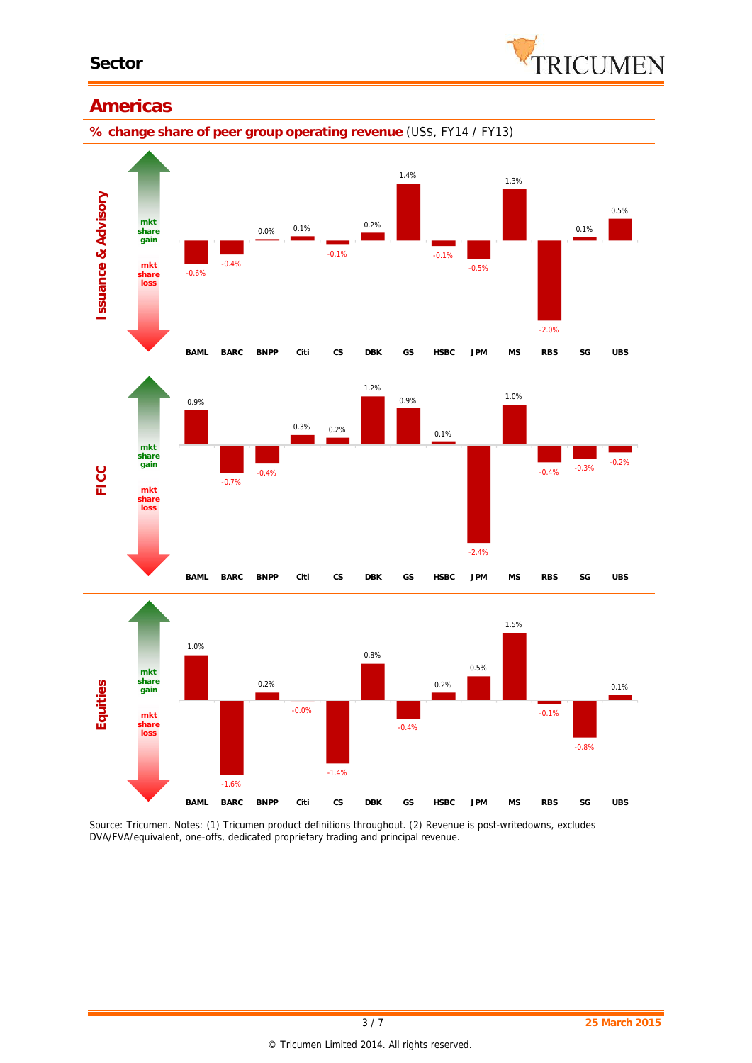

### **Americas**

**% change share of peer group operating revenue** (US\$, FY14 / FY13)



*Source: Tricumen. Notes: (1) Tricumen product definitions throughout. (2) Revenue is post-writedowns, excludes DVA/FVA/equivalent, one-offs, dedicated proprietary trading and principal revenue.*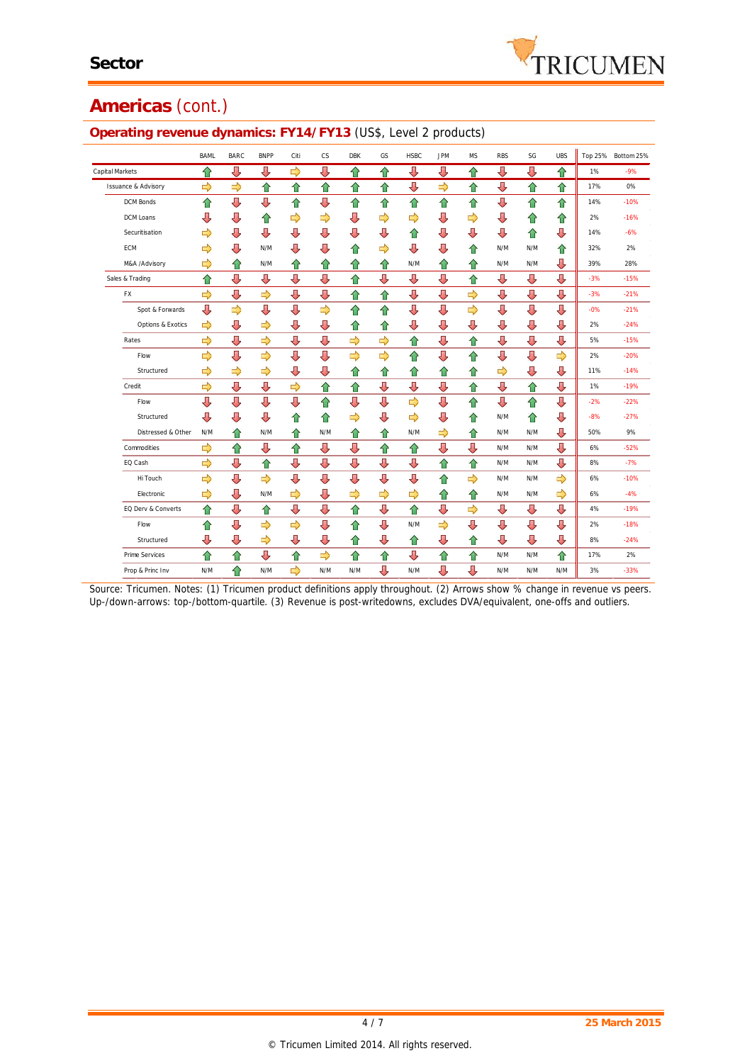# **Americas** (cont.)

| ັ                              |               |               |             |               |           |               |    |               |               |           |            |     |            |       |                    |
|--------------------------------|---------------|---------------|-------------|---------------|-----------|---------------|----|---------------|---------------|-----------|------------|-----|------------|-------|--------------------|
|                                | <b>BAML</b>   | BARC          | <b>BNPP</b> | Citi          | <b>CS</b> | <b>DBK</b>    | GS | <b>HSBC</b>   | <b>JPM</b>    | <b>MS</b> | <b>RBS</b> | SG  | <b>UBS</b> |       | Top 25% Bottom 25% |
| Capital Markets                | ⇧             | ⇩             | ⇩           | ⇨             | ⇩         | ⇑             | ⇧  | ⇩             | ⇩             | ⇧         | ⊕          | ⇩   | ⇧          | 1%    | $-9%$              |
| <b>Issuance &amp; Advisory</b> | ⇨             | ⇨             | ⇧           | ⇧             | ⇮         | ⇧             | ⇧  | ⇩             | ⇨             | ⇧         | ⇩          | ⇧   | ⇧          | 17%   | 0%                 |
| <b>DCM Bonds</b>               | ⇧             | ⇩             | ⇩           | ⇧             | ⇩         | ⇧             | ⇧  | ⇧             | ⇧             | ⇧         | ⇩          | ⇧   | 슙          | 14%   | $-10%$             |
| DCM Loans                      | ⇩             | ⇩             | ⇑           | ⇨             | ⇨         | ⇩             | ⇨  | ⇨             | IJ            | ⇨         | ⇩          | ⇧   | ⇧          | 2%    | $-16%$             |
| Securitisation                 | ⇨             | ⇩             | ⇩           | ⇩             | ⇩         | U             | ⇩  | ⇧             | ⇩             | ⇩         | ⇩          | ⇧   | ⇩          | 14%   | $-6%$              |
| <b>ECM</b>                     | ⇨             | ⇩             | N/M         | ⇩             | ⇩         | ⇧             | ⇨  | J             | ⇩             | ⇧         | N/M        | N/M | 슙          | 32%   | 2%                 |
| M&A /Advisory                  | ⇨             | ⇧             | N/M         | ⇧             | ⇧         | €             | ⇧  | N/M           | ⇧             | ⇧         | N/M        | N/M | ⇩          | 39%   | 28%                |
| Sales & Trading                | ⇧             | ⇩             | ⇩           | ⇩             | ⇩         | ⇧             | ⇩  | J             | ⇩             | ⇧         | ⇩          | ⇩   | ⇩          | $-3%$ | $-15%$             |
| FX                             | ⇨             | ⇩             | ⇨           | ⇩             | ⇩         | 슙             | ⇧  | ⇩             | ⇩             | ⇨         | ⇩          | ⇩   | ⇩          | $-3%$ | $-21%$             |
| Spot & Forwards                | ⊕             | $\Rightarrow$ | ⇩           | ⇩             | ⇨         | ⇧             | ⇧  | ⇩             | ⇩             | ⇨         | ⇩          | ⇩   | ⇩          | $-0%$ | $-21%$             |
| Options & Exotics              | ⇨             | ⇩             | ⇨           | ⇩             | ⇩         | ⇧             | ⇧  | J             | ⇩             | ⇩         | ⇩          | ⇩   | ⇩          | 2%    | $-24%$             |
| Rates                          | $\Rightarrow$ | ⇩             | ⇨           | ⇩             | ⇩         | $\Rightarrow$ | ⇨  | ⇧             | ⇩             | ⇧         | ⇩          | ⇩   | ⇩          | 5%    | $-15%$             |
| Flow                           | ⇨             | ⇩             | ⇨           | ⇩             | ⇩         | ⇨             | ⇨  | ⇧             | ⇩             | ⇧         | ⇩          | ⇩   | ⇨          | 2%    | $-20%$             |
| Structured                     | ⇨             | ⇨             | ⇨           | ⇩             | ⇩         | ⇧             | ⇧  | 仚             | ⇧             | 슙         | ⇨          | ⇩   | ⇩          | 11%   | $-14%$             |
| Credit                         | $\Rightarrow$ | ⇩             | ⇩           | $\Rightarrow$ | ⇧         | ⇧             | ⇩  | ⇩             | ⇩             | ⇧         | ⇩          | ⇧   | ⇩          | 1%    | $-19%$             |
| Flow                           | ⇩             | ⇩             | ⇩           | ⇩             | ⇑         | ⇩             | ⇩  | $\Rightarrow$ | ⇩             | 슈         | ⇩          | ⇧   | ⇩          | $-2%$ | $-22%$             |
| Structured                     | ⇩             | ⇩             | ⇩           | ⇑             | ⇑         | ⇨             | ⇩  | ⇨             | ⇩             | ⇑         | N/M        | ⇧   | ⇩          | $-8%$ | $-27%$             |
| Distressed & Other             | N/M           | ⇧             | N/M         | ⇑             | N/M       | ⇧             | ⇧  | N/M           | ⇨             | ⇧         | N/M        | N/M | ⇩          | 50%   | 9%                 |
| Commodities                    | ⇨             | ⇧             | ⇩           | ⇑             | ⇩         | ⇩             | ⇧  | ⇧             | J             | ⇩         | N/M        | N/M | ⇩          | 6%    | $-52%$             |
| EQ Cash                        | ⇨             | ⇩             | ⇧           | ⇩             | ⇩         | ⇩             | ⇩  | ⇩             | ⇧             | ⇧         | N/M        | N/M | ⇩          | 8%    | $-7%$              |
| Hi Touch                       | ⇨             | ⇩             | ⇨           | ⇩             | ⇩         | ⇩             | ⇩  | IJ            | ⇧             | ⇨         | N/M        | N/M | ⇨          | 6%    | $-10%$             |
| Electronic                     | ⇨             | ⇩             | N/M         | ⇨             | ⇩         | $\Rightarrow$ | ⇨  | ⇨             | ⇧             | ⇧         | N/M        | N/M | ⇨          | 6%    | $-4%$              |
| EQ Derv & Converts             | ⇧             | ⇩             | ⇧           | ⇩             | ⇩         | ⇧             | ⇩  | ⇧             | ⇩             | ⇨         | ⇩          | ⇩   | ⇩          | 4%    | $-19%$             |
| Flow                           | ⇧             | ⇩             | ⇨           | ⇨             | ⇩         | ⇧             | ⇩  | N/M           | $\Rightarrow$ | ⇩         | ⇩          | ⇩   | ⇩          | 2%    | $-18%$             |
| Structured                     | ⇩             | ⇩             | ⇨           | ⇩             | ⇩         | ⇧             | ⇩  | ⇧             | ⇩             | 슙         | ⇩          | ⇩   | ⇩          | 8%    | $-24%$             |
| Prime Services                 | ⇧             | ⇑             | ⇩           | ⇧             | ⇨         | ⇑             | ⇧  | ⇩             | ⇧             | ⇧         | N/M        | N/M | ⇑          | 17%   | 2%                 |
| Prop & Princ Inv               | N/M           | ⇑             | N/M         | ⇨             | N/M       | N/M           | ⇩  | N/M           | ⇩             | ⇩         | N/M        | N/M | N/M        | 3%    | $-33%$             |

#### **Operating revenue dynamics: FY14/FY13** (US\$, Level 2 products)

*Source: Tricumen. Notes: (1) Tricumen product definitions apply throughout. (2) Arrows show % change in revenue vs peers. Up-/down-arrows: top-/bottom-quartile. (3) Revenue is post-writedowns, excludes DVA/equivalent, one-offs and outliers.*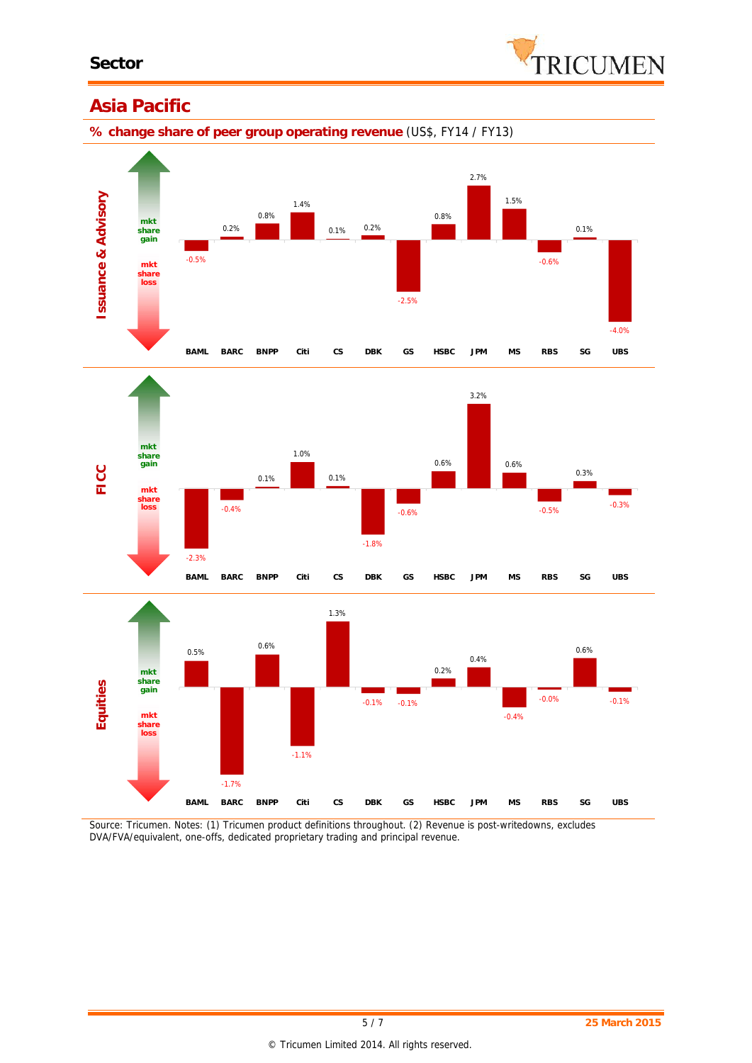

## **Asia Pacific**

**% change share of peer group operating revenue** (US\$, FY14 / FY13)







*Source: Tricumen. Notes: (1) Tricumen product definitions throughout. (2) Revenue is post-writedowns, excludes DVA/FVA/equivalent, one-offs, dedicated proprietary trading and principal revenue.*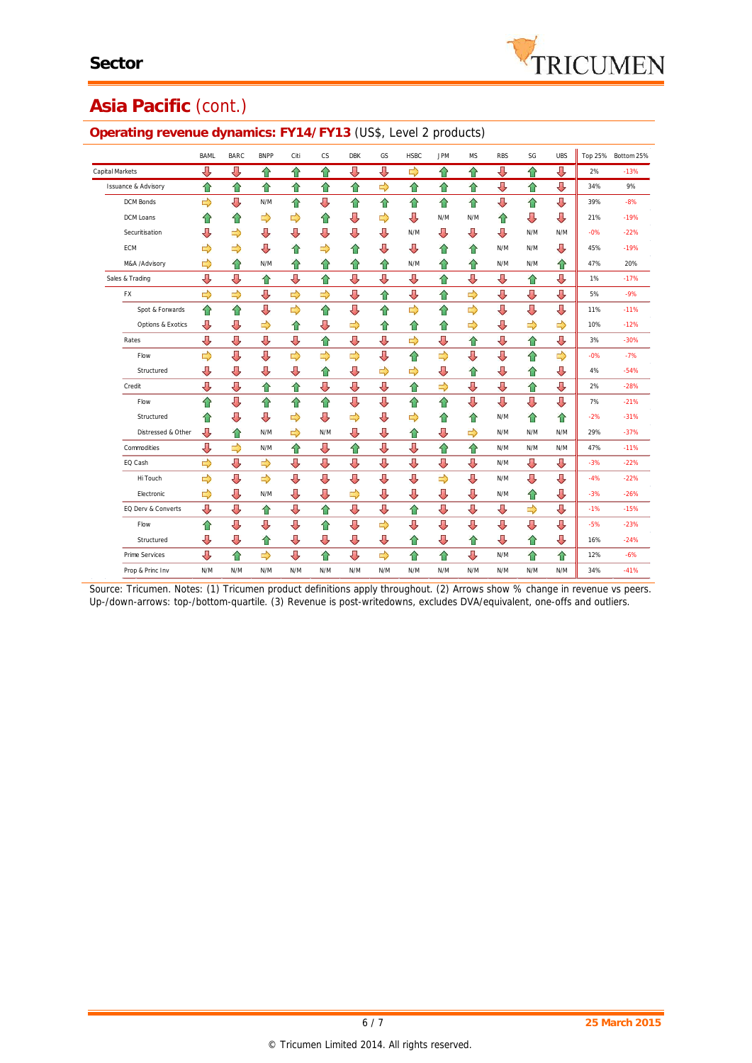

## **Asia Pacific** (cont.)

#### BAML BARC BNPP Citi CS DBK GS HSBC JPM MS RBS SG UBS Top 25% Bottom 25% Capital Markets <del>나 나 습 습 습 하</del> **Issuance & Advisory 合合合合合合合合合合作合作。 9%** DCM Bonds N/M 49 44 44 44 44 44 44 45 47 89% -8% DCM Loans  $\leftarrow$   $\leftarrow$   $\leftarrow$   $\leftarrow$   $\leftarrow$   $\leftarrow$   $\leftarrow$   $\leftarrow$  N/M N/M  $\leftarrow$   $\leftarrow$   $\leftarrow$   $\leftarrow$  19% -19% Securitisation N/M N/M N/M -0% -22% ECM  $\longrightarrow$  O d  $\longrightarrow$  O d  $\longrightarrow$  O d  $\longrightarrow$  O d  $\longrightarrow$  O d  $\longrightarrow$  O d  $\longrightarrow$  O d  $\longrightarrow$  O d  $\longrightarrow$  O d  $\longrightarrow$  19% M&A /Advisory D イン N/M インイン インド インドインドインドインド N/M インドインドインド N/M インドインド 20% Sales & Trading , 인터넷 A 및 A 및 및 A 및 및 A 및 A 및 A 및 II 1% -17% FX 5% -9% Spot & Forwards 11% -11% Options & Exotics 10% -12% Rates 3% -30% Flow -0% -7% Structured  $\begin{array}{ccc} \downarrow \qquad \downarrow \qquad \downarrow \qquad \begin{array}{ccc} \downarrow \qquad & \uparrow \qquad & \downarrow \qquad & \downarrow \qquad \downarrow \qquad & \downarrow \qquad & \downarrow \qquad \end{array} \end{array}$ Credit 2% -28% Flow 7% -21% Structured A -2 -2 -2 -2 -2 -2 -2 -2 -2 -2 -2 -31% Distressed & Other N/M N/M N/M N/M N/M 29% -37% Commodities  $\begin{array}{ccc} \downarrow \downarrow & \downarrow \downarrow \end{array}$  N/M  $\begin{array}{ccc} \uparrow \downarrow & \downarrow \downarrow & \uparrow \downarrow & \uparrow \uparrow & \uparrow \end{array}$  N/M N/M N/M | 47% -11% EQ Cash N/M -3% -22% Hi Touch N/M -4% -22% Electronic ( پہلے ہوئے کہ اس کے اس کے اس کے اس کے اس کے اس کے اس کے اس کے اس کے اس کے اس کے اس کے حالات کر کر<br>Electronic ( پہلے کہ اس کے اس کے اس کے اس کے اس کے اس کے اس کے اس کے اس کے اس کے اس کے اس کے اس کے اس کے اس کے EQ Derv & Converts -1% -15% Flow -5% -23% Structured <del>나 나 아 나 나 나 같은 나 같은 나 같은</del> 나 아 -24% Prime Services N/M 12% -6% N/M 12% -6% A/M 12% -6% A/M 12% -6% A/M 12% -6% D/M 12% -6% D/M 12% -6% D/M 12% -6% Prop & Princ Inv N/M N/M N/M N/M N/M N/M N/M N/M N/M N/M N/M N/M N/M 34% -41%

#### **Operating revenue dynamics: FY14/FY13** (US\$, Level 2 products)

*Source: Tricumen. Notes: (1) Tricumen product definitions apply throughout. (2) Arrows show % change in revenue vs peers. Up-/down-arrows: top-/bottom-quartile. (3) Revenue is post-writedowns, excludes DVA/equivalent, one-offs and outliers.*